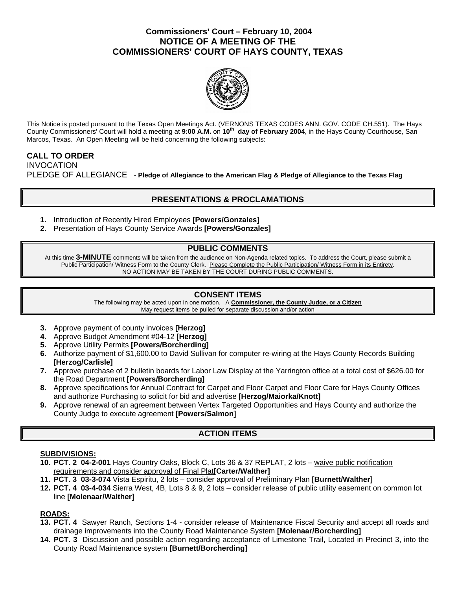## **Commissioners' Court – February 10, 2004 NOTICE OF A MEETING OF THE COMMISSIONERS' COURT OF HAYS COUNTY, TEXAS**



This Notice is posted pursuant to the Texas Open Meetings Act. (VERNONS TEXAS CODES ANN. GOV. CODE CH.551). The Hays County Commissioners' Court will hold a meeting at **9:00 A.M.** on **10th day of February 2004**, in the Hays County Courthouse, San Marcos, Texas. An Open Meeting will be held concerning the following subjects:

### **CALL TO ORDER**  INVOCATION PLEDGE OF ALLEGIANCE - **Pledge of Allegiance to the American Flag & Pledge of Allegiance to the Texas Flag**

# **PRESENTATIONS & PROCLAMATIONS**

- **1.** Introduction of Recently Hired Employees **[Powers/Gonzales]**
- **2.** Presentation of Hays County Service Awards **[Powers/Gonzales]**

## **PUBLIC COMMENTS**

At this time **3-MINUTE** comments will be taken from the audience on Non-Agenda related topics. To address the Court, please submit a Public Participation/ Witness Form to the County Clerk. Please Complete the Public Participation/ Witness Form in its Entirety. NO ACTION MAY BE TAKEN BY THE COURT DURING PUBLIC COMMENTS.

### **CONSENT ITEMS**

The following may be acted upon in one motion. A **Commissioner, the County Judge, or a Citizen** May request items be pulled for separate discussion and/or action

- **3.** Approve payment of county invoices **[Herzog]**
- **4.** Approve Budget Amendment #04-12 **[Herzog]**
- **5.** Approve Utility Permits **[Powers/Borcherding]**
- **6.** Authorize payment of \$1,600.00 to David Sullivan for computer re-wiring at the Hays County Records Building **[Herzog/Carlisle]**
- **7.** Approve purchase of 2 bulletin boards for Labor Law Display at the Yarrington office at a total cost of \$626.00 for the Road Department **[Powers/Borcherding]**
- **8.** Approve specifications for Annual Contract for Carpet and Floor Carpet and Floor Care for Hays County Offices and authorize Purchasing to solicit for bid and advertise **[Herzog/Maiorka/Knott]**
- **9.** Approve renewal of an agreement between Vertex Targeted Opportunities and Hays County and authorize the County Judge to execute agreement **[Powers/Salmon]**

# **ACTION ITEMS**

### **SUBDIVISIONS:**

- **10. PCT. 2 04-2-001** Hays Country Oaks, Block C, Lots 36 & 37 REPLAT, 2 lots waive public notification requirements and consider approval of Final Plat**[Carter/Walther]**
- **11. PCT. 3 03-3-074** Vista Espiritu, 2 lots consider approval of Preliminary Plan **[Burnett/Walther]**
- **12. PCT. 4 03-4-034** Sierra West, 4B, Lots 8 & 9, 2 lots consider release of public utility easement on common lot line **[Molenaar/Walther]**

### **ROADS:**

- **13. PCT. 4** Sawyer Ranch, Sections 1-4 consider release of Maintenance Fiscal Security and accept all roads and drainage improvements into the County Road Maintenance System **[Molenaar/Borcherding]**
- **14. PCT. 3** Discussion and possible action regarding acceptance of Limestone Trail, Located in Precinct 3, into the County Road Maintenance system **[Burnett/Borcherding]**